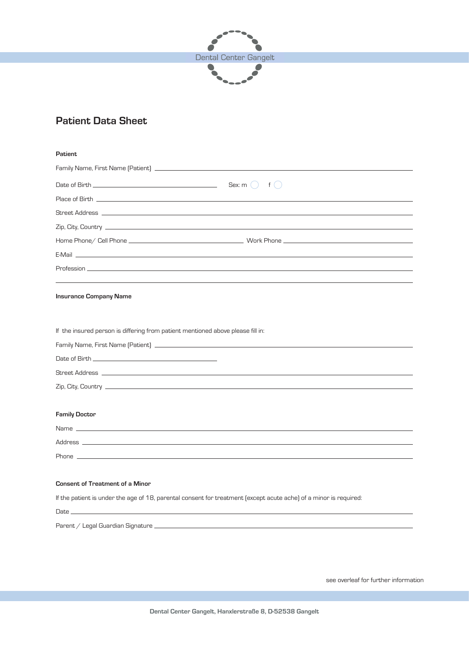

## **Patient Data Sheet**

| Patient                                                                                                                 |  |  |  |
|-------------------------------------------------------------------------------------------------------------------------|--|--|--|
|                                                                                                                         |  |  |  |
|                                                                                                                         |  |  |  |
| Place of Birth <b>Communication in the Communication</b> of the Communication of the Communication of the Communication |  |  |  |
|                                                                                                                         |  |  |  |
|                                                                                                                         |  |  |  |
|                                                                                                                         |  |  |  |
|                                                                                                                         |  |  |  |
|                                                                                                                         |  |  |  |
| <b>Insurance Company Name</b>                                                                                           |  |  |  |
| If the insured person is differing from patient mentioned above please fill in:                                         |  |  |  |
|                                                                                                                         |  |  |  |
|                                                                                                                         |  |  |  |
|                                                                                                                         |  |  |  |
|                                                                                                                         |  |  |  |
| <b>Family Doctor</b>                                                                                                    |  |  |  |
|                                                                                                                         |  |  |  |
|                                                                                                                         |  |  |  |
|                                                                                                                         |  |  |  |
| <b>Consent of Treatment of a Minor</b>                                                                                  |  |  |  |
| If the patient is under the age of 18, parental consent for treatment (except acute ache) of a minor is required:       |  |  |  |
| Date ____________                                                                                                       |  |  |  |

Parent / Legal Guardian Signature

see overleaf for further information